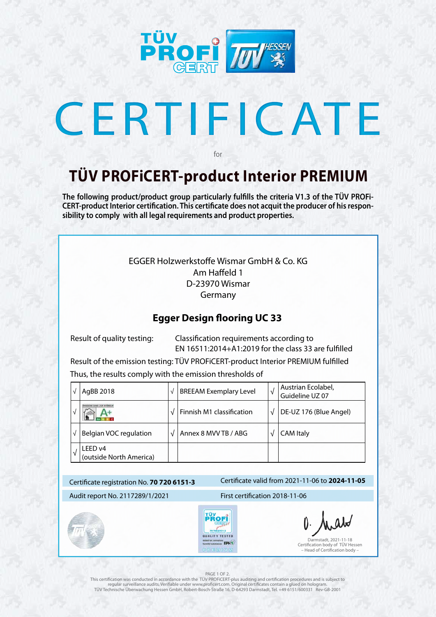

# CERTIFICATE

#### Certificate valid from 2021-11-06 to **2024-11-05** Certificate registration No. **70 720 6151-3** Audit report No. 2117289/1/2021 First certification 2018-11-06 **FÜYOF**  $0.6151 - 3$ QUALITY TESTED Darmstadt, 2021-11-18 et for: emissions<br>multaalstances EPH S Certification body of TÜV Hessen PREMIUM – Head of Certification body –

#### PAGE 1 OF 2

## **TÜV PROFiCERT-product Interior PREMIUM**

for

**The following product/product group particularly fulfills the criteria V1.3 of the TÜV PROFi-CERT-product Interior certification. This certificate does not acquit the producer of his responsibility to comply with all legal requirements and product properties.** 

This certification was conducted in accordance with the TÜV PROFiCERT-plus auditing and certification procedures and is subject to regular surveillance audits. Verifiable under www.proficert.com. Original certificates contain a glued on hologram. TÜV Technische Überwachung Hessen GmbH, Robert-Bosch-Straße 16, D-64293 Darmstadt, Tel. +49 6151/600331 Rev-GB-2001

### EGGER Holzwerkstoffe Wismar GmbH & Co. KG Am Haffeld 1 D-23970 Wismar Germany

## **Egger Design flooring UC 33**

 Result of quality testing: Classification requirements according to EN 16511:2014+A1:2019 for the class 33 are fulfilled

Result of the emission testing: TÜV PROFiCERT-product Interior PREMIUM fulfilled

Thus, the results comply with the emission thresholds of

|              | AgBB 2018                          | $\sqrt{ }$ | <b>BREEAM Exemplary Level</b> | √ | Austrian Ecolabel,<br>Guideline UZ 07 |
|--------------|------------------------------------|------------|-------------------------------|---|---------------------------------------|
|              |                                    |            | Finnish M1 classification     |   | DE-UZ 176 (Blue Angel)                |
| $\mathbf{v}$ | <b>Belgian VOC regulation</b>      | $\sqrt{}$  | Annex 8 MVV TB / ABG          |   | <b>CAM Italy</b>                      |
| $\mathbf{v}$ | LEED v4<br>(outside North America) |            |                               |   |                                       |